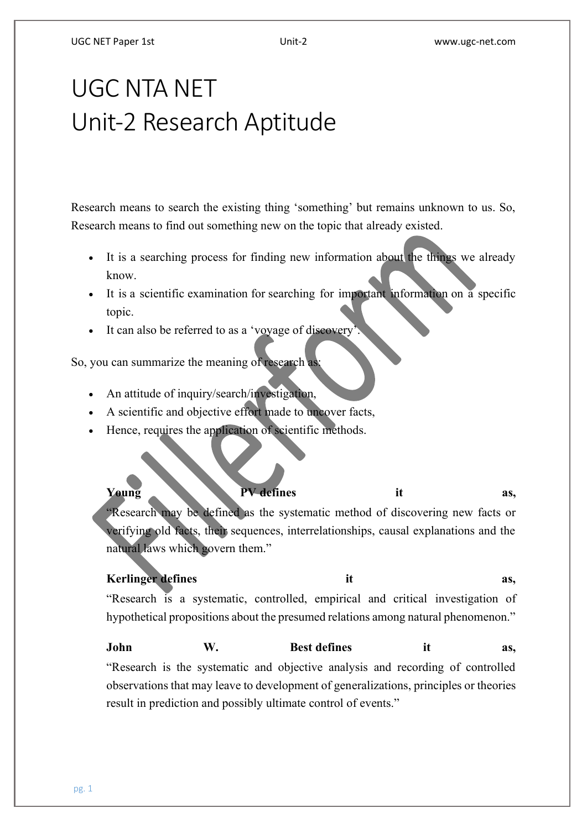#### UGC NET Paper 1st Unit-2 www.ugc-net.com

# UGC NTA NET Unit-2 Research Aptitude

Research means to search the existing thing 'something' but remains unknown to us. So, Research means to find out something new on the topic that already existed.

- It is a searching process for finding new information about the things we already know.
- It is a scientific examination for searching for important information on a specific topic.
- It can also be referred to as a 'voyage of discovery'.

So, you can summarize the meaning of research as:

- An attitude of inquiry/search/investigation,
- A scientific and objective effort made to uncover facts,
- Hence, requires the application of scientific methods.

# Young **PV** defines it as,

"Research may be defined as the systematic method of discovering new facts or verifying old facts, their sequences, interrelationships, causal explanations and the natural laws which govern them."

# **Kerlinger** defines it as,

"Research is a systematic, controlled, empirical and critical investigation of hypothetical propositions about the presumed relations among natural phenomenon."

# **John W. Best defines it as,** "Research is the systematic and objective analysis and recording of controlled observations that may leave to development of generalizations, principles or theories result in prediction and possibly ultimate control of events."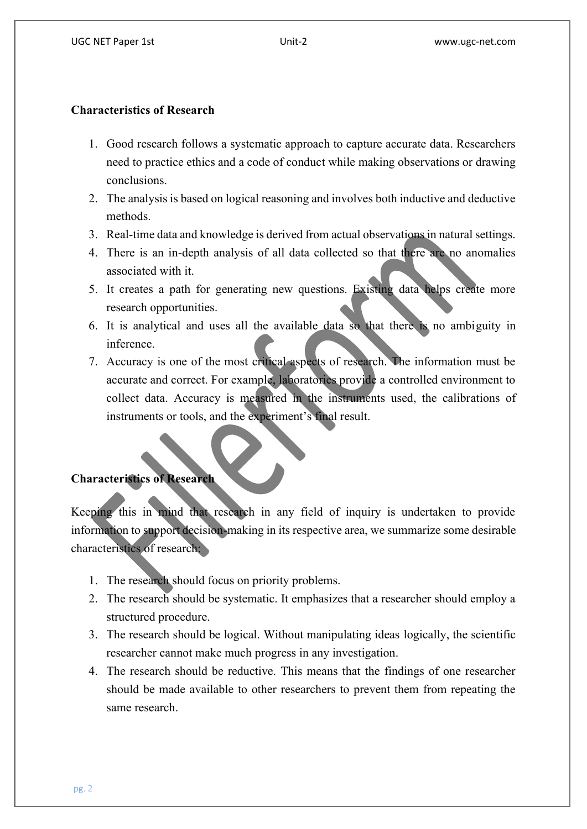#### **Characteristics of Research**

- 1. Good research follows a systematic approach to capture accurate data. Researchers need to practice ethics and a code of conduct while making observations or drawing conclusions.
- 2. The analysis is based on logical reasoning and involves both inductive and deductive methods.
- 3. Real-time data and knowledge is derived from actual observations in natural settings.
- 4. There is an in-depth analysis of all data collected so that there are no anomalies associated with it.
- 5. It creates a path for generating new questions. Existing data helps create more research opportunities.
- 6. It is analytical and uses all the available data so that there is no ambiguity in inference.
- 7. Accuracy is one of the most critical aspects of research. The information must be accurate and correct. For example, laboratories provide a controlled environment to collect data. Accuracy is measured in the instruments used, the calibrations of instruments or tools, and the experiment's final result.

## **Characteristics of Research**

Keeping this in mind that research in any field of inquiry is undertaken to provide information to support decision-making in its respective area, we summarize some desirable characteristics of research:

- 1. The research should focus on priority problems.
- 2. The research should be systematic. It emphasizes that a researcher should employ a structured procedure.
- 3. The research should be logical. Without manipulating ideas logically, the scientific researcher cannot make much progress in any investigation.
- 4. The research should be reductive. This means that the findings of one researcher should be made available to other researchers to prevent them from repeating the same research.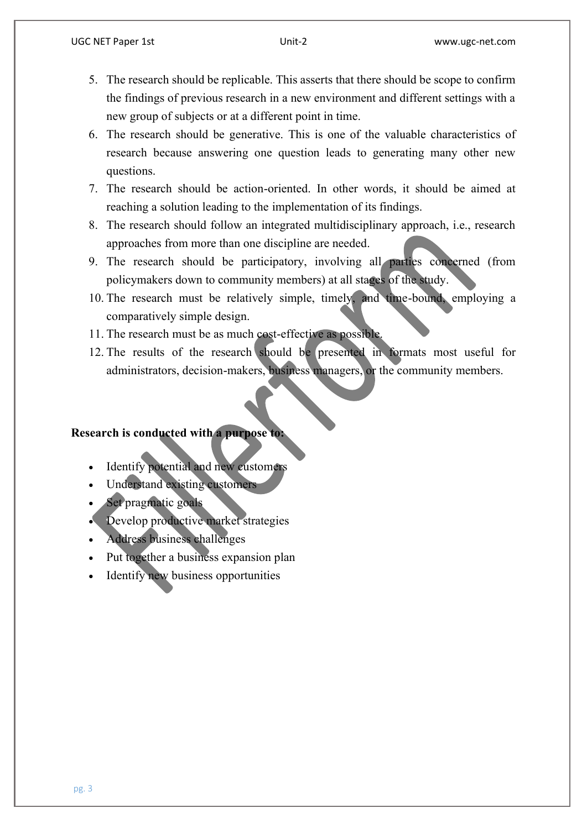- 5. The research should be replicable. This asserts that there should be scope to confirm the findings of previous research in a new environment and different settings with a new group of subjects or at a different point in time.
- 6. The research should be generative. This is one of the valuable characteristics of research because answering one question leads to generating many other new questions.
- 7. The research should be action-oriented. In other words, it should be aimed at reaching a solution leading to the implementation of its findings.
- 8. The research should follow an integrated multidisciplinary approach, i.e., research approaches from more than one discipline are needed.
- 9. The research should be participatory, involving all parties concerned (from policymakers down to community members) at all stages of the study.
- 10. The research must be relatively simple, timely, and time-bound, employing a comparatively simple design.
- 11. The research must be as much cost-effective as possible.
- 12. The results of the research should be presented in formats most useful for administrators, decision-makers, business managers, or the community members.

#### **Research is conducted with a purpose to:**

- Identify potential and new customers
- Understand existing customers
- Set pragmatic goals
- Develop productive market strategies
- Address business challenges
- Put together a business expansion plan
- Identify new business opportunities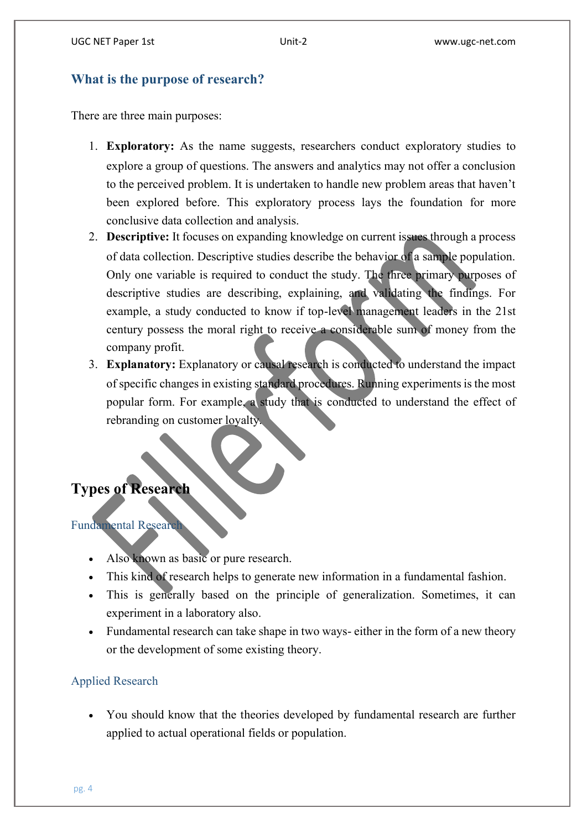# **What is the purpose of research?**

There are three main purposes:

- 1. **Exploratory:** As the name suggests, researchers conduct exploratory studies to explore a group of questions. The answers and analytics may not offer a conclusion to the perceived problem. It is undertaken to handle new problem areas that haven't been explored before. This exploratory process lays the foundation for more conclusive data collection and analysis.
- 2. **Descriptive:** It focuses on expanding knowledge on current issues through a process of data collection. Descriptive studies describe the behavior of a sample population. Only one variable is required to conduct the study. The three primary purposes of descriptive studies are describing, explaining, and validating the findings. For example, a study conducted to know if top-level management leaders in the 21st century possess the moral right to receive a considerable sum of money from the company profit.
- 3. **Explanatory:** Explanatory or causal research is conducted to understand the impact of specific changes in existing standard procedures. Running experiments is the most popular form. For example, a study that is conducted to understand the effect of rebranding on customer loyalty.

# **Types of Research**

Fundamental Research

- Also known as basic or pure research.
- This kind of research helps to generate new information in a fundamental fashion.
- This is generally based on the principle of generalization. Sometimes, it can experiment in a laboratory also.
- Fundamental research can take shape in two ways-either in the form of a new theory or the development of some existing theory.

# Applied Research

 You should know that the theories developed by fundamental research are further applied to actual operational fields or population.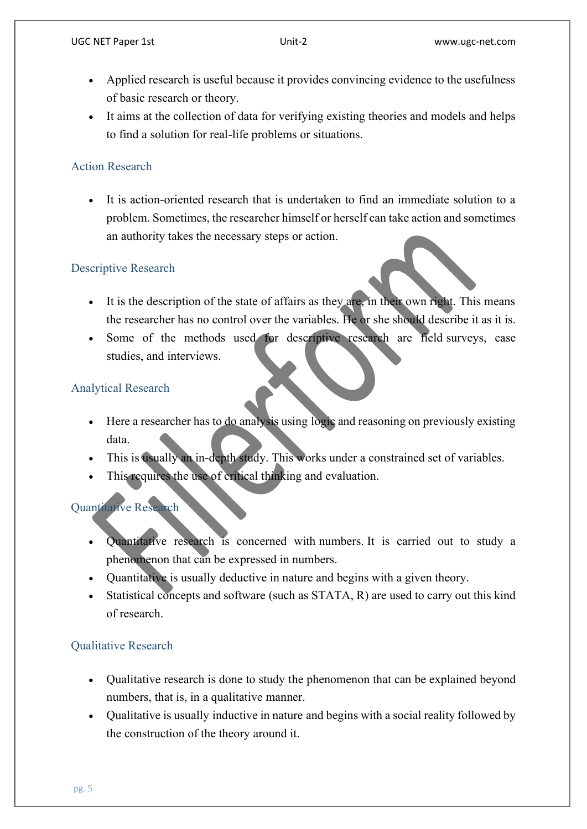- Applied research is useful because it provides convincing evidence to the usefulness of basic research or theory.
- It aims at the collection of data for verifying existing theories and models and helps to find a solution for real-life problems or situations.

# Action Research

 It is action-oriented research that is undertaken to find an immediate solution to a problem. Sometimes, the researcher himself or herself can take action and sometimes an authority takes the necessary steps or action.

# Descriptive Research

- It is the description of the state of affairs as they are, in their own right. This means the researcher has no control over the variables. He or she should describe it as it is.
- Some of the methods used for descriptive research are field surveys, case studies, and interviews.

# Analytical Research

- Here a researcher has to do analysis using logic and reasoning on previously existing data.
- This is usually an in-depth study. This works under a constrained set of variables.
- This requires the use of critical thinking and evaluation.

# Quantitative Research

- Quantitative research is concerned with numbers. It is carried out to study a phenomenon that can be expressed in numbers.
- Quantitative is usually deductive in nature and begins with a given theory.
- Statistical concepts and software (such as STATA, R) are used to carry out this kind of research.

# Qualitative Research

- Qualitative research is done to study the phenomenon that can be explained beyond numbers, that is, in a qualitative manner.
- Qualitative is usually inductive in nature and begins with a social reality followed by the construction of the theory around it.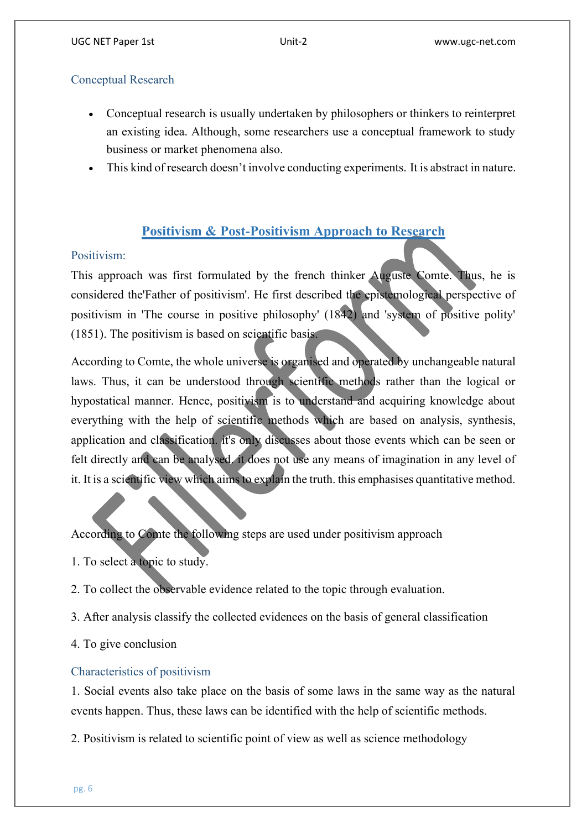# Conceptual Research

- Conceptual research is usually undertaken by philosophers or thinkers to reinterpret an existing idea. Although, some researchers use a conceptual framework to study business or market phenomena also.
- This kind of research doesn't involve conducting experiments. It is abstract in nature.

# **Positivism & Post-Positivism Approach to Research**

# Positivism:

This approach was first formulated by the french thinker Auguste Comte. Thus, he is considered the'Father of positivism'. He first described the epistemological perspective of positivism in 'The course in positive philosophy' (1842) and 'system of positive polity' (1851). The positivism is based on scientific basis.

According to Comte, the whole universe is organised and operated by unchangeable natural laws. Thus, it can be understood through scientific methods rather than the logical or hypostatical manner. Hence, positivism is to understand and acquiring knowledge about everything with the help of scientific methods which are based on analysis, synthesis, application and classification. it's only discusses about those events which can be seen or felt directly and can be analysed. it does not use any means of imagination in any level of it. It is a scientific view which aims to explain the truth, this emphasises quantitative method.

According to Comte the following steps are used under positivism approach

- 1. To select a topic to study.
- 2. To collect the observable evidence related to the topic through evaluation.
- 3. After analysis classify the collected evidences on the basis of general classification

4. To give conclusion

## Characteristics of positivism

1. Social events also take place on the basis of some laws in the same way as the natural events happen. Thus, these laws can be identified with the help of scientific methods.

2. Positivism is related to scientific point of view as well as science methodology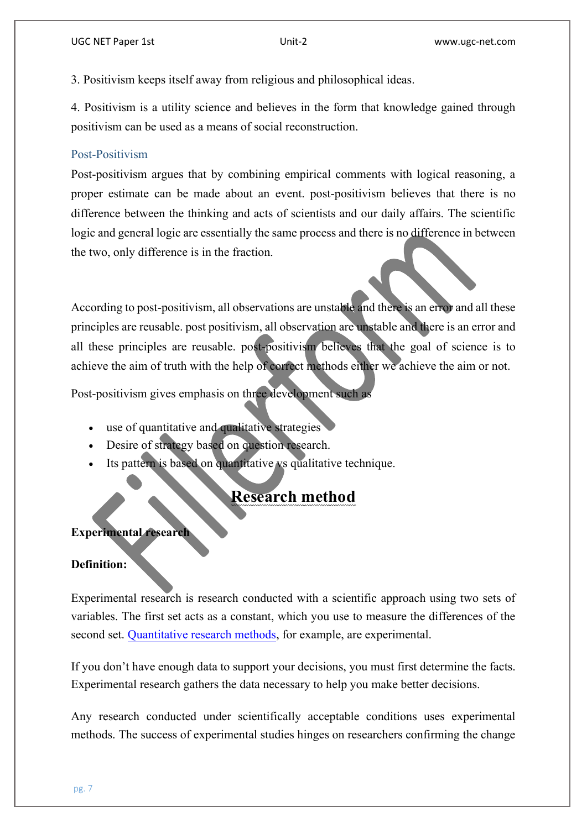3. Positivism keeps itself away from religious and philosophical ideas.

4. Positivism is a utility science and believes in the form that knowledge gained through positivism can be used as a means of social reconstruction.

#### Post-Positivism

Post-positivism argues that by combining empirical comments with logical reasoning, a proper estimate can be made about an event. post-positivism believes that there is no difference between the thinking and acts of scientists and our daily affairs. The scientific logic and general logic are essentially the same process and there is no difference in between the two, only difference is in the fraction.

According to post-positivism, all observations are unstable and there is an error and all these principles are reusable. post positivism, all observation are unstable and there is an error and all these principles are reusable. post-positivism believes that the goal of science is to achieve the aim of truth with the help of correct methods either we achieve the aim or not.

Post-positivism gives emphasis on three development such as

- use of quantitative and qualitative strategies
- Desire of strategy based on question research.
- Its pattern is based on quantitative vs qualitative technique.

# **Research method**

#### **Experimental research**

#### **Definition:**

Experimental research is research conducted with a scientific approach using two sets of variables. The first set acts as a constant, which you use to measure the differences of the second set. [Quantitative research methods,](https://www.questionpro.com/blog/quantitative-research/) for example, are experimental.

If you don't have enough data to support your decisions, you must first determine the facts. Experimental research gathers the data necessary to help you make better decisions.

Any research conducted under scientifically acceptable conditions uses experimental methods. The success of experimental studies hinges on researchers confirming the change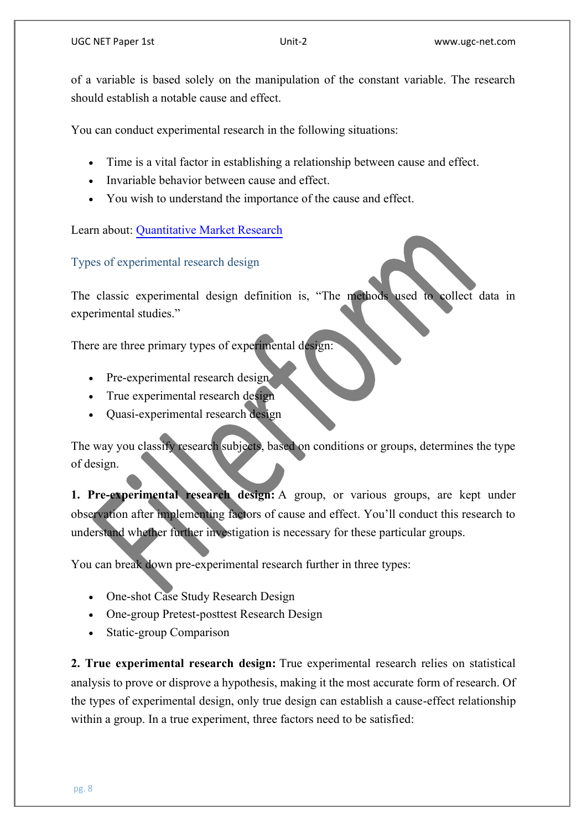of a variable is based solely on the manipulation of the constant variable. The research should establish a notable cause and effect.

You can conduct experimental research in the following situations:

- Time is a vital factor in establishing a relationship between cause and effect.
- Invariable behavior between cause and effect.
- You wish to understand the importance of the cause and effect.

Learn about: [Quantitative Market Research](https://www.questionpro.com/blog/quantitative-market-research/)

Types of experimental research design

The classic experimental design definition is, "The methods used to collect data in experimental studies."

There are three primary types of experimental design:

- Pre-experimental research design
- True experimental research design
- Quasi-experimental research design

The way you classify research subjects, based on conditions or groups, determines the type of design.

**1. Pre-experimental research design:** A group, or various groups, are kept under observation after implementing factors of cause and effect. You'll conduct this research to understand whether further investigation is necessary for these particular groups.

You can break down pre-experimental research further in three types:

- One-shot Case Study Research Design
- One-group Pretest-posttest Research Design
- Static-group Comparison

**2. True experimental research design:** True experimental research relies on statistical analysis to prove or disprove a hypothesis, making it the most accurate form of research. Of the types of experimental design, only true design can establish a cause-effect relationship within a group. In a true experiment, three factors need to be satisfied: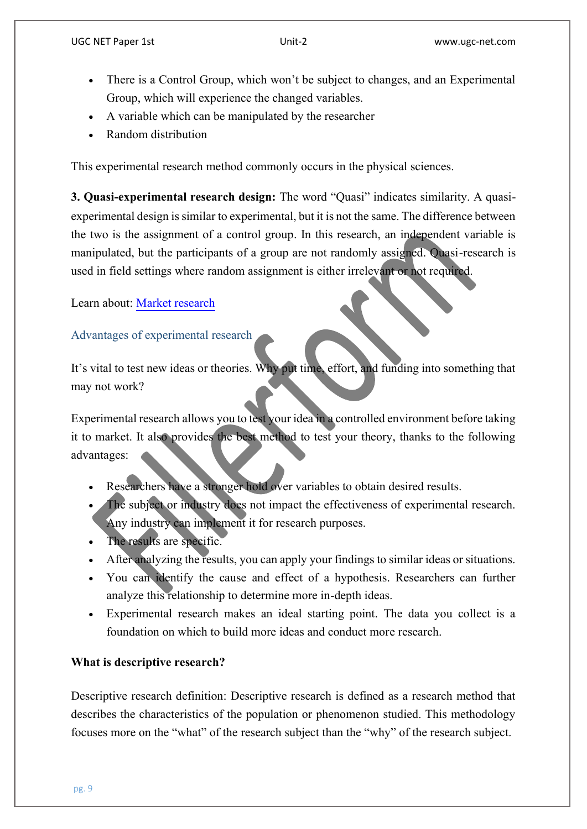- There is a Control Group, which won't be subject to changes, and an Experimental Group, which will experience the changed variables.
- A variable which can be manipulated by the researcher
- Random distribution

This experimental research method commonly occurs in the physical sciences.

**3. Quasi-experimental research design:** The word "Quasi" indicates similarity. A quasiexperimental design is similar to experimental, but it is not the same. The difference between the two is the assignment of a control group. In this research, an independent variable is manipulated, but the participants of a group are not randomly assigned. Quasi-research is used in field settings where random assignment is either irrelevant or not required.

Learn about: [Market research](https://www.questionpro.com/blog/what-is-market-research/)

# Advantages of experimental research

It's vital to test new ideas or theories. Why put time, effort, and funding into something that may not work?

Experimental research allows you to test your idea in a controlled environment before taking it to market. It also provides the best method to test your theory, thanks to the following advantages:

- Researchers have a stronger hold over variables to obtain desired results.
- The subject or industry does not impact the effectiveness of experimental research. Any industry can implement it for research purposes.
- The results are specific.
- After analyzing the results, you can apply your findings to similar ideas or situations.
- You can identify the cause and effect of a hypothesis. Researchers can further analyze this relationship to determine more in-depth ideas.
- Experimental research makes an ideal starting point. The data you collect is a foundation on which to build more ideas and conduct more research.

## **What is descriptive research?**

Descriptive research definition: Descriptive research is defined as a research method that describes the characteristics of the population or phenomenon studied. This methodology focuses more on the "what" of the research subject than the "why" of the research subject.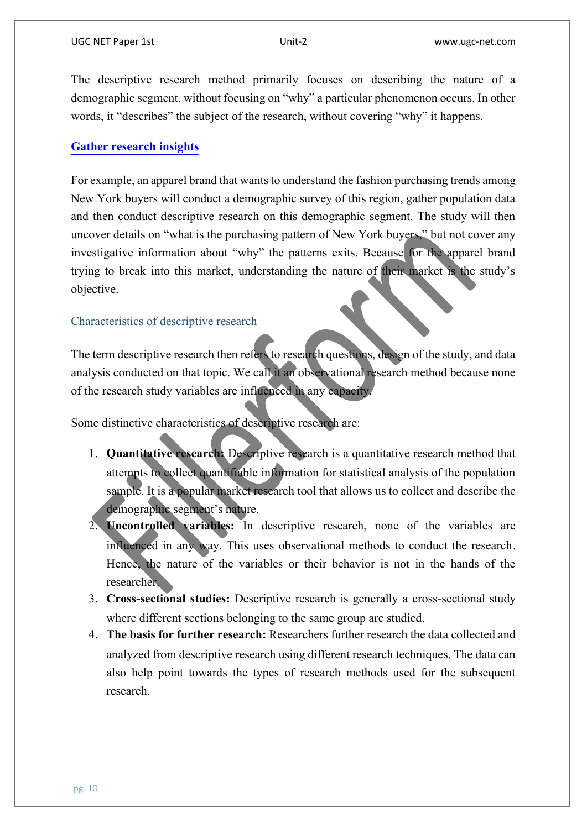The descriptive research method primarily focuses on describing the nature of a demographic segment, without focusing on "why" a particular phenomenon occurs. In other words, it "describes" the subject of the research, without covering "why" it happens.

#### **[Gather research insights](https://www.questionpro.com/a/showEntry.do?classID=1053&sourceRef=research-edition-home)**

For example, an apparel brand that wants to understand the fashion purchasing trends among New York buyers will conduct a demographic survey of this region, gather population data and then conduct descriptive research on this demographic segment. The study will then uncover details on "what is the purchasing pattern of New York buyers," but not cover any investigative information about "why" the patterns exits. Because for the apparel brand trying to break into this market, understanding the nature of their market is the study's objective.

#### Characteristics of descriptive research

The term descriptive research then refers to research questions, design of the study, and data analysis conducted on that topic. We call it an observational research method because none of the research study variables are influenced in any capacity.

Some distinctive characteristics of descriptive research are:

- 1. **Quantitative research:** Descriptive research is a quantitative research method that attempts to collect quantifiable information for statistical analysis of the population sample. It is a popular market research tool that allows us to collect and describe the demographic segment's nature.
- 2. **Uncontrolled variables:** In descriptive research, none of the variables are influenced in any way. This uses observational methods to conduct the research. Hence, the nature of the variables or their behavior is not in the hands of the researcher.
- 3. **Cross-sectional studies:** Descriptive research is generally a cross-sectional study where different sections belonging to the same group are studied.
- 4. **The basis for further research:** Researchers further research the data collected and analyzed from descriptive research using different research techniques. The data can also help point towards the types of research methods used for the subsequent research.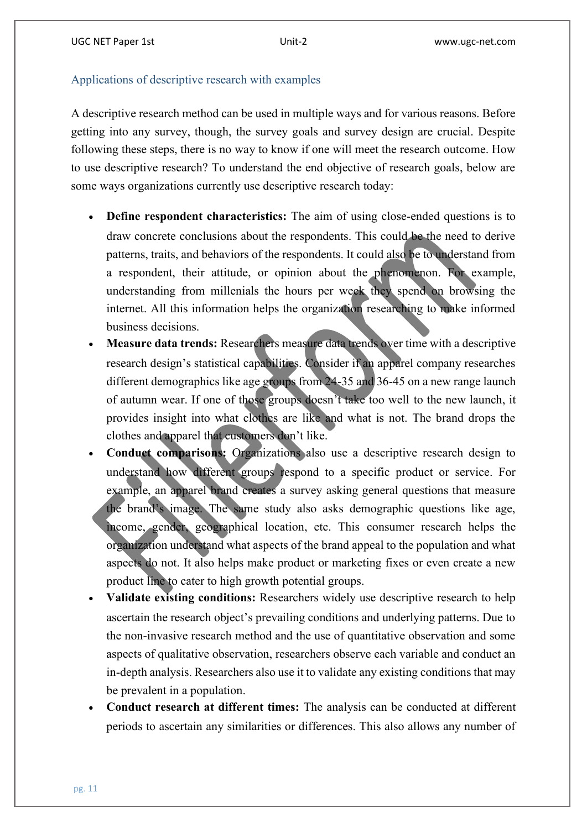# Applications of descriptive research with examples

A descriptive research method can be used in multiple ways and for various reasons. Before getting into any survey, though, the survey goals and survey design are crucial. Despite following these steps, there is no way to know if one will meet the research outcome. How to use descriptive research? To understand the end objective of research goals, below are some ways organizations currently use descriptive research today:

- **Define respondent characteristics:** The aim of using close-ended questions is to draw concrete conclusions about the respondents. This could be the need to derive patterns, traits, and behaviors of the respondents. It could also be to understand from a respondent, their attitude, or opinion about the phenomenon. For example, understanding from millenials the hours per week they spend on browsing the internet. All this information helps the organization researching to make informed business decisions.
- **Measure data trends:** Researchers measure data trends over time with a descriptive research design's statistical capabilities. Consider if an apparel company researches different demographics like age groups from 24-35 and 36-45 on a new range launch of autumn wear. If one of those groups doesn't take too well to the new launch, it provides insight into what clothes are like and what is not. The brand drops the clothes and apparel that customers don't like.
- **Conduct comparisons:** Organizations also use a descriptive research design to understand how different groups respond to a specific product or service. For example, an apparel brand creates a survey asking general questions that measure the brand's image. The same study also asks demographic questions like age, income, gender, geographical location, etc. This consumer research helps the organization understand what aspects of the brand appeal to the population and what aspects do not. It also helps make product or marketing fixes or even create a new product line to cater to high growth potential groups.
- **Validate existing conditions:** Researchers widely use descriptive research to help ascertain the research object's prevailing conditions and underlying patterns. Due to the non-invasive research method and the use of quantitative observation and some aspects of qualitative observation, researchers observe each variable and conduct an in-depth analysis. Researchers also use it to validate any existing conditions that may be prevalent in a population.
- **Conduct research at different times:** The analysis can be conducted at different periods to ascertain any similarities or differences. This also allows any number of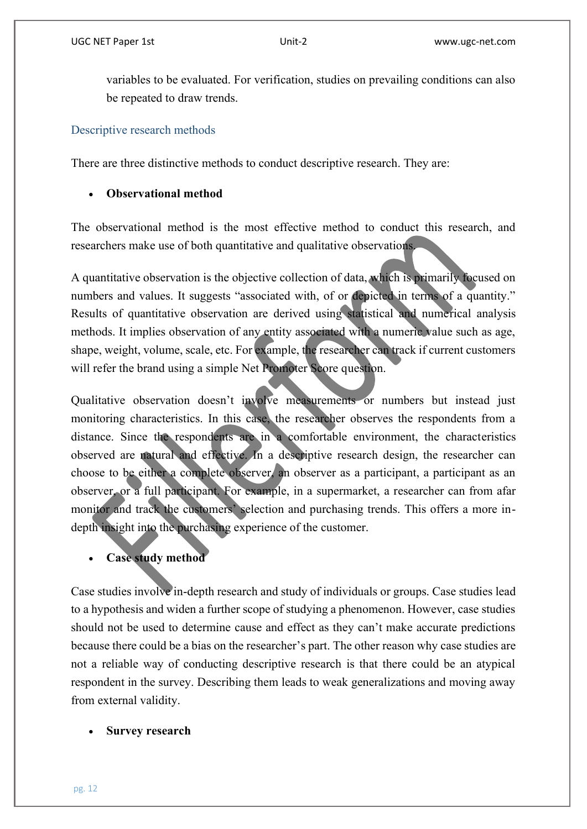variables to be evaluated. For verification, studies on prevailing conditions can also be repeated to draw trends.

## Descriptive research methods

There are three distinctive methods to conduct descriptive research. They are:

# **Observational method**

The observational method is the most effective method to conduct this research, and researchers make use of both quantitative and qualitative observations.

A quantitative observation is the objective collection of data, which is primarily focused on numbers and values. It suggests "associated with, of or depicted in terms of a quantity." Results of quantitative observation are derived using statistical and numerical analysis methods. It implies observation of any entity associated with a numeric value such as age, shape, weight, volume, scale, etc. For example, the researcher can track if current customers will refer the brand using a simple Net Promoter Score question.

Qualitative observation doesn't involve measurements or numbers but instead just monitoring characteristics. In this case, the researcher observes the respondents from a distance. Since the respondents are in a comfortable environment, the characteristics observed are natural and effective. In a descriptive research design, the researcher can choose to be either a complete observer, an observer as a participant, a participant as an observer, or a full participant. For example, in a supermarket, a researcher can from afar monitor and track the customers' selection and purchasing trends. This offers a more indepth insight into the purchasing experience of the customer.

# **Case study method**

Case studies involve in-depth research and study of individuals or groups. Case studies lead to a hypothesis and widen a further scope of studying a phenomenon. However, case studies should not be used to determine cause and effect as they can't make accurate predictions because there could be a bias on the researcher's part. The other reason why case studies are not a reliable way of conducting descriptive research is that there could be an atypical respondent in the survey. Describing them leads to weak generalizations and moving away from external validity.

## **Survey research**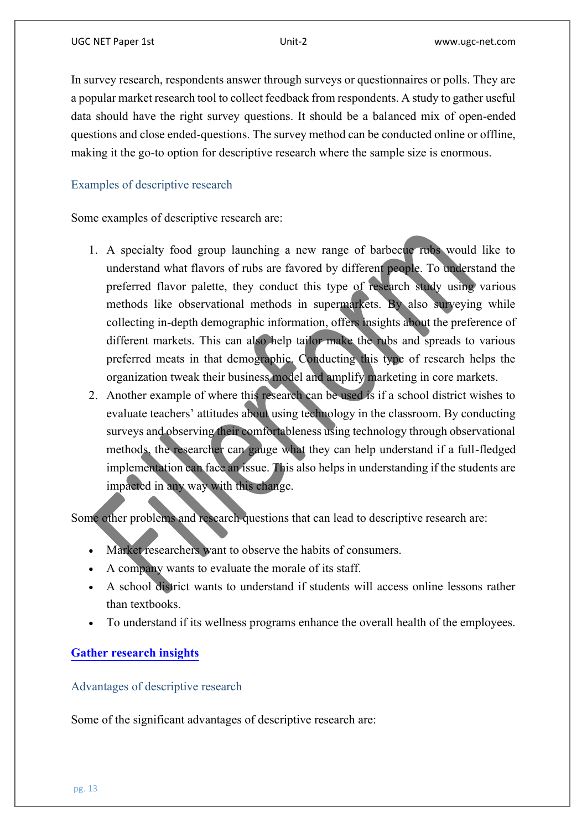In survey research, respondents answer through surveys or questionnaires or polls. They are a popular market research tool to collect feedback from respondents. A study to gather useful data should have the right survey questions. It should be a balanced mix of open-ended questions and close ended-questions. The survey method can be conducted online or offline, making it the go-to option for descriptive research where the sample size is enormous.

# Examples of descriptive research

Some examples of descriptive research are:

- 1. A specialty food group launching a new range of barbecue rubs would like to understand what flavors of rubs are favored by different people. To understand the preferred flavor palette, they conduct this type of research study using various methods like observational methods in supermarkets. By also surveying while collecting in-depth demographic information, offers insights about the preference of different markets. This can also help tailor make the rubs and spreads to various preferred meats in that demographic. Conducting this type of research helps the organization tweak their business model and amplify marketing in core markets.
- 2. Another example of where this research can be used is if a school district wishes to evaluate teachers' attitudes about using technology in the classroom. By conducting surveys and observing their comfortableness using technology through observational methods, the researcher can gauge what they can help understand if a full-fledged implementation can face an issue. This also helps in understanding if the students are impacted in any way with this change.

Some other problems and research questions that can lead to descriptive research are:

- Market researchers want to observe the habits of consumers.
- A company wants to evaluate the morale of its staff.
- A school district wants to understand if students will access online lessons rather than textbooks.
- To understand if its wellness programs enhance the overall health of the employees.

# **[Gather research insights](https://www.questionpro.com/a/showEntry.do?classID=1053&sourceRef=research-edition-home)**

Advantages of descriptive research

Some of the significant advantages of descriptive research are: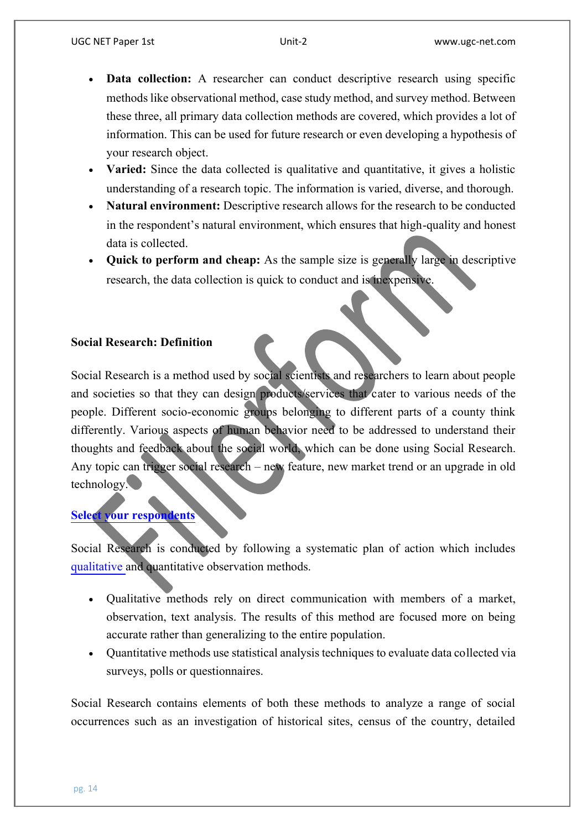- **Data collection:** A researcher can conduct descriptive research using specific methods like observational method, case study method, and survey method. Between these three, all primary data collection methods are covered, which provides a lot of information. This can be used for future research or even developing a hypothesis of your research object.
- **Varied:** Since the data collected is qualitative and quantitative, it gives a holistic understanding of a research topic. The information is varied, diverse, and thorough.
- Natural environment: Descriptive research allows for the research to be conducted in the respondent's natural environment, which ensures that high-quality and honest data is collected.
- **Quick to perform and cheap:** As the sample size is generally large in descriptive research, the data collection is quick to conduct and is inexpensive.

# **Social Research: Definition**

Social Research is a method used by social scientists and researchers to learn about people and societies so that they can design products/services that cater to various needs of the people. Different socio-economic groups belonging to different parts of a county think differently. Various aspects of human behavior need to be addressed to understand their thoughts and feedback about the social world, which can be done using Social Research. Any topic can trigger social research – new feature, new market trend or an upgrade in old technology.

# **[Select your respondents](https://www.questionpro.com/a/showEntry.do?mode=audience&sourceRef=audience)**

Social Research is conducted by following a systematic plan of action which includes [qualitative a](https://www.questionpro.com/blog/qualitative-observation/)nd quantitative observation methods.

- Oualitative methods rely on direct communication with members of a market, observation, text analysis. The results of this method are focused more on being accurate rather than generalizing to the entire population.
- Quantitative methods use statistical analysis techniques to evaluate data collected via surveys, polls or questionnaires.

Social Research contains elements of both these methods to analyze a range of social occurrences such as an investigation of historical sites, census of the country, detailed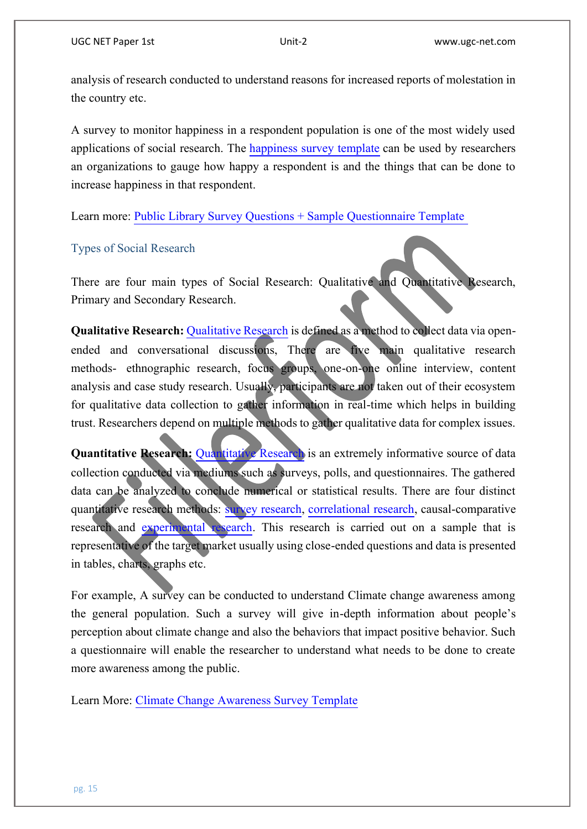analysis of research conducted to understand reasons for increased reports of molestation in the country etc.

A survey to monitor happiness in a respondent population is one of the most widely used applications of social research. The [happiness survey template](https://www.questionpro.com/survey-templates/happiness-survey-template/) can be used by researchers an organizations to gauge how happy a respondent is and the things that can be done to increase happiness in that respondent.

Learn more: [Public Library Survey Questions + Sample Questionnaire Template](https://www.questionpro.com/survey-templates/public-library-survey-template/)

#### Types of Social Research

There are four main types of Social Research: Qualitative and Quantitative Research, Primary and Secondary Research.

**[Qualitative Research](https://www.questionpro.com/blog/qualitative-research-methods/): Qualitative Research is defined as a method to collect data via open**ended and conversational discussions, There are five main qualitative research methods- ethnographic research, focus groups, one-on-one online interview, content analysis and case study research. Usually, participants are not taken out of their ecosystem for qualitative data collection to gather information in real-time which helps in building trust. Researchers depend on multiple methods to gather qualitative data for complex issues.

**[Quantitative Research](https://www.questionpro.com/blog/quantitative-research/):** Quantitative Research is an extremely informative source of data collection conducted via mediums such as surveys, polls, and questionnaires. The gathered data can be analyzed to conclude numerical or statistical results. There are four distinct quantitative research methods: [survey research,](https://www.questionpro.com/tour/survey-research.html) [correlational research,](https://www.questionpro.com/blog/correlational-research/) causal-comparative research and [experimental research.](https://www.questionpro.com/blog/experimental-research/) This research is carried out on a sample that is representative of the target market usually using close-ended questions and data is presented in tables, charts, graphs etc.

For example, A survey can be conducted to understand Climate change awareness among the general population. Such a survey will give in-depth information about people's perception about climate change and also the behaviors that impact positive behavior. Such a questionnaire will enable the researcher to understand what needs to be done to create more awareness among the public.

Learn More: [Climate Change Awareness Survey Template](https://www.questionpro.com/survey-templates/climate-change-awareness-survey-template/)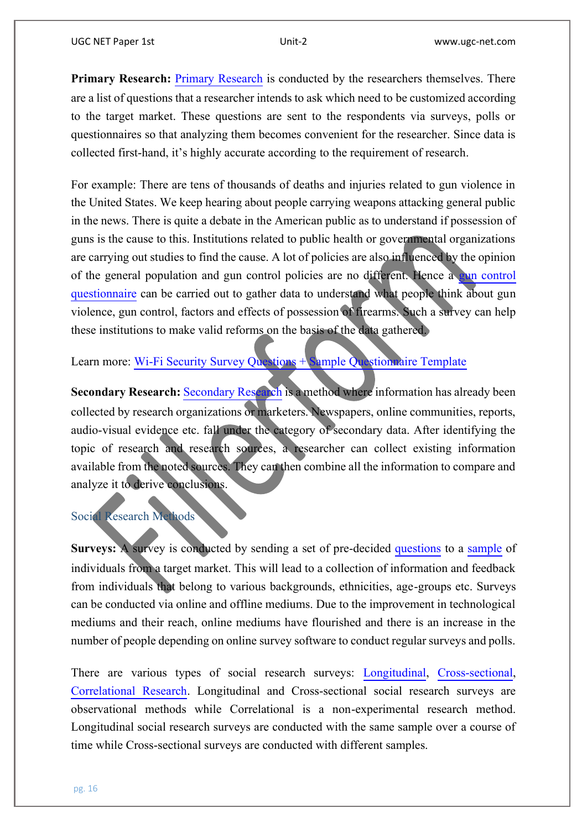**[Primary Research](https://www.questionpro.com/primary-research.html): Primary Research is conducted by the researchers themselves. There** are a list of questions that a researcher intends to ask which need tobe customized according to the target market. These questions are sent to the respondents via surveys, polls or questionnaires so that analyzing them becomes convenient for the researcher. Since data is collected first-hand, it's highly accurate according to the requirement of research.

For example: There are tens of thousands of deaths and injuries related to gun violence in the United States. We keep hearing about people carrying weapons attacking general public in the news. There is quite a debate in the American public as to understand if possession of guns is the cause to this. Institutions related to public health or governmental organizations are carrying out studies to find the cause. A lot of policies are also influenced by the opinion of the general population and gun control policies are no different. Hence a [gun control](https://www.questionpro.com/survey-templates/gun-control-survey-questions/)  [questionnaire](https://www.questionpro.com/survey-templates/gun-control-survey-questions/) can be carried out to gather data to understand what people think about gun violence, gun control, factors and effects of possession of firearms. Such a survey can help these institutions to make valid reforms on the basis of the data gathered.

Learn more: Wi-Fi Security Survey Ouestions  $+$  Sample Ouestionnaire Template

[Secondary Research](https://www.questionpro.com/tour/secondary-research.html): Secondary Research is a method where information has already been collected by research organizations or marketers. Newspapers, online communities, reports, audio-visual evidence etc. fall under the category of secondary data. After identifying the topic of research and research sources, a researcher can collect existing information available from the noted sources. They can then combine all the information to compare and analyze it to derive conclusions.

## Social Research Methods

**Surveys:** A survey is conducted by sending a set of pre-decided [questions](https://www.questionpro.com/article/survey-question-answer-type.html) to a [sample](https://www.questionpro.com/blog/types-of-sampling-for-social-research/) of individuals from a target market. This will lead to a collection of information and feedback from individuals that belong to various backgrounds, ethnicities, age-groups etc. Surveys can be conducted via online and offline mediums. Due to the improvement in technological mediums and their reach, online mediums have flourished and there is an increase in the number of people depending on online survey software to conduct regular surveys and polls.

There are various types of social research surveys: [Longitudinal,](https://www.questionpro.com/blog/longitudinal-study/) [Cross-sectional,](https://www.questionpro.com/blog/cross-sectional-study/) [Correlational Research.](https://www.questionpro.com/blog/correlational-research/) Longitudinal and Cross-sectional social research surveys are observational methods while Correlational is a non-experimental research method. Longitudinal social research surveys are conducted with the same sample over a course of time while Cross-sectional surveys are conducted with different samples.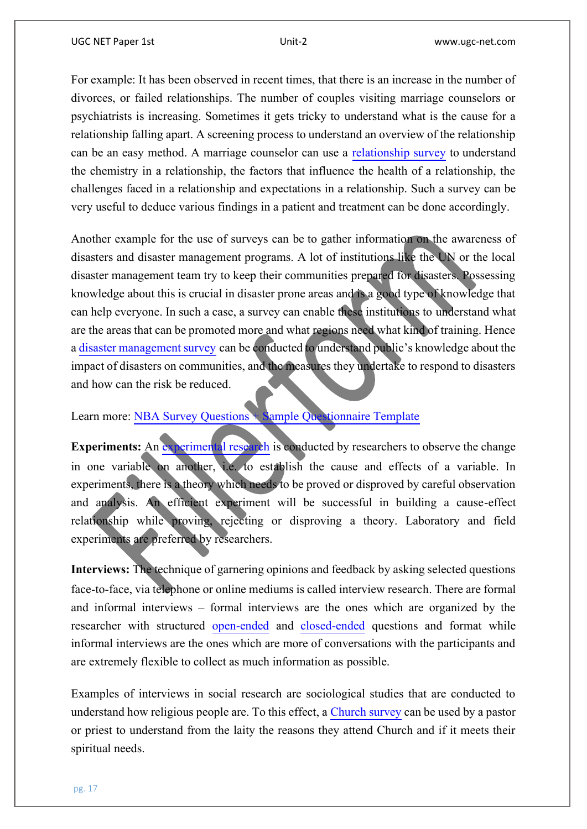For example: It has been observed in recent times, that there is an increase in the number of divorces, or failed relationships. The number of couples visiting marriage counselors or psychiatrists is increasing. Sometimes it gets tricky to understand what is the cause for a relationship falling apart. A screening process to understand an overview of the relationship can be an easy method. A marriage counselor can use a [relationship survey](https://www.questionpro.com/survey-templates/relationship-survey-template/) to understand the chemistry in a relationship, the factors that influence the health of a relationship, the challenges faced in a relationship and expectations in a relationship. Such a survey can be very useful to deduce various findings in a patient and treatment can be done accordingly.

Another example for the use of surveys can be to gather information on the awareness of disasters and disaster management programs. A lot of institutions like the UN or the local disaster management team try to keep their communities prepared for disasters. Possessing knowledge about this is crucial in disaster prone areas and is a good type of knowledge that can help everyone. In such a case, a survey can enable these institutions to understand what are the areas that can be promoted more and what regions need what kind of training. Hence a [disaster management survey](https://www.questionpro.com/survey-templates/disaster-management-survey-questions/) can be conducted to understand public's knowledge about the impact of disasters on communities, and the measures they undertake to respond to disasters and how can the risk be reduced.

Learn more: [NBA Survey Questions + Sample Questionnaire Template](https://www.questionpro.com/survey-templates/nba-survey-questions/)

**Experiments:** An [experimental research](https://www.questionpro.com/blog/experimental-research/) is conducted by researchers to observe the change in one variable on another, i.e. to establish the cause and effects of a variable. In experiments, there is a theory which needs to be proved or disproved by careful observation and analysis. An efficient experiment will be successful in building a cause-effect relationship while proving, rejecting or disproving a theory. Laboratory and field experiments are preferred by researchers.

**Interviews:** The technique of garnering opinions and feedback by asking selected questions face-to-face, via telephone or online mediums is called interview research. There are formal and informal interviews – formal interviews are the ones which are organized by the researcher with structured [open-ended](https://www.questionpro.com/open-ended-questions.html) and [closed-ended](https://www.questionpro.com/close-ended-questions.html) questions and format while informal interviews are the ones which are more of conversations with the participants and are extremely flexible to collect as much information as possible.

Examples of interviews in social research are sociological studies that are conducted to understand how religious people are. To this effect, a [Church survey](https://www.questionpro.com/survey-templates/church-survey-template/)can be used by a pastor or priest to understand from the laity the reasons they attend Church and if it meets their spiritual needs.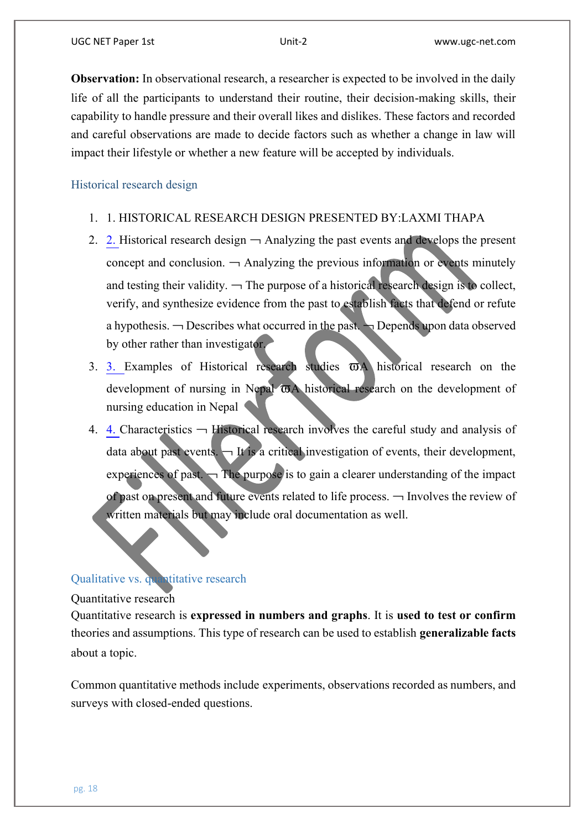**Observation:** In observational research, a researcher is expected to be involved in the daily life of all the participants to understand their routine, their decision-making skills, their capability to handle pressure and their overall likes and dislikes. These factors and recorded and careful observations are made to decide factors such as whether a change in law will impact their lifestyle or whether a new feature will be accepted by individuals.

Historical research design

- 1. 1. HISTORICAL RESEARCH DESIGN PRESENTED BY:LAXMI THAPA
- 2. [2. H](https://image.slidesharecdn.com/historicalrd-170403162330/95/historical-research-design-2-638.jpg?cb=1491236631)istorical research design  $\neg$  Analyzing the past events and develops the present concept and conclusion.  $\rightarrow$  Analyzing the previous information or events minutely and testing their validity.  $\neg$  The purpose of a historical research design is to collect, verify, and synthesize evidence from the past to establish facts that defend or refute a hypothesis.  $\neg$  Describes what occurred in the past.  $\neg$  Depends upon data observed by other rather than investigator.
- 3. [3. E](https://image.slidesharecdn.com/historicalrd-170403162330/95/historical-research-design-3-638.jpg?cb=1491236631)xamples of Historical research studies  $\overline{\omega}$ A historical research on the development of nursing in Nepal  $\overline{\omega}$ A historical research on the development of nursing education in Nepal
- 4. [4. C](https://image.slidesharecdn.com/historicalrd-170403162330/95/historical-research-design-4-638.jpg?cb=1491236631)haracteristics  $\rightarrow$  Historical research involves the careful study and analysis of data about past events.  $\Box$  It is a critical investigation of events, their development, experiences of past.  $\rightarrow$  The purpose is to gain a clearer understanding of the impact of past on present and future events related to life process.  $\neg$  Involves the review of written materials but may include oral documentation as well.

# Qualitative vs. quantitative research

#### Quantitative research

Quantitative research is **expressed in numbers and graphs**. It is **used to test or confirm** theories and assumptions. This type of research can be used to establish **generalizable facts** about a topic.

Common quantitative methods include experiments, observations recorded as numbers, and surveys with closed-ended questions.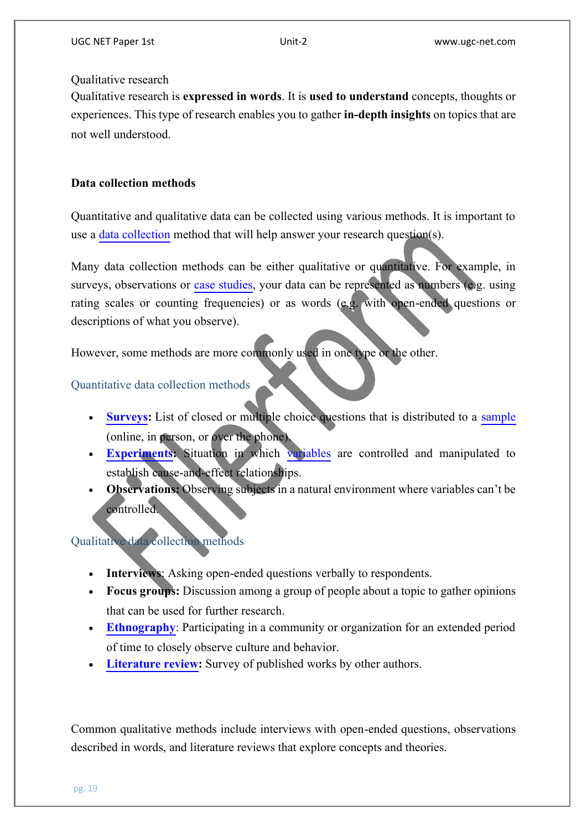## Qualitative research

Qualitative research is **expressed in words**. It is **used to understand** concepts, thoughts or experiences. This type of research enables you to gather **in-depth insights**on topics that are not well understood.

# **Data collection methods**

Quantitative and qualitative data can be collected using various methods. It is important to use a [data collection](https://www.scribbr.com/methodology/data-collection/) method that will help answer your research question(s).

Many data collection methods can be either qualitative or quantitative. For example, in surveys, observations or [case studies,](https://www.scribbr.nl/onderzoeksmethoden/case-study/) your data can be represented as numbers (e.g. using rating scales or counting frequencies) or as words (e.g. with open-ended questions or descriptions of what you observe).

However, some methods are more commonly used in one type or the other.

# Quantitative data collection methods

- **[Surveys:](https://www.scribbr.com/methodology/survey-research/)** List of closed or multiple choice questions that is distributed to a [sample](https://www.scribbr.com/methodology/sampling-methods/) (online, in person, or over the phone).
- **[Experiments:](https://www.scribbr.com/methodology/experimental-design/)** Situation in which [variables](https://www.scribbr.com/methodology/types-of-variables/) are controlled and manipulated to establish cause-and-effect relationships.
- **Observations:** Observing subjects in a natural environment where variables can't be controlled.

# Qualitative data collection methods

- **Interviews**: Asking open-ended questions verbally to respondents.
- **Focus groups:** Discussion among a group of people about a topic to gather opinions that can be used for further research.
- **[Ethnography](https://www.scribbr.com/methodology/ethnography/)**: Participating in a community or organization for an extended period of time to closely observe culture and behavior.
- **[Literature review:](https://www.scribbr.com/dissertation/literature-review/)** Survey of published works by other authors.

Common qualitative methods include interviews with open-ended questions, observations described in words, and literature reviews that explore concepts and theories.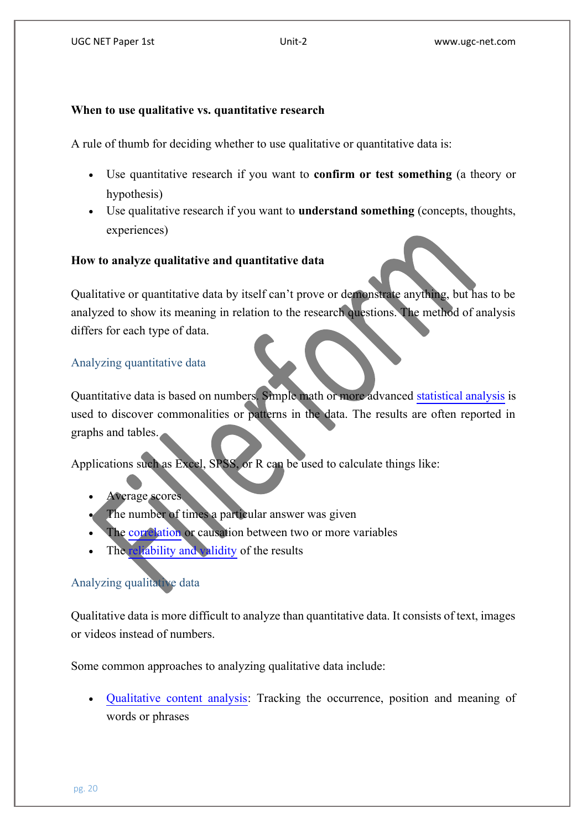# **When to use qualitative vs. quantitative research**

A rule of thumb for deciding whether to use qualitative or quantitative data is:

- Use quantitative research if you want to **confirm or test something** (a theory or hypothesis)
- Use qualitative research if you want to **understand something** (concepts, thoughts, experiences)

# **How to analyze qualitative and quantitative data**

Qualitative or quantitative data by itself can't prove or demonstrate anything, but has to be analyzed to show its meaning in relation to the research questions. The method of analysis differs for each type of data.

# Analyzing quantitative data

Quantitativedata is based on numbers. Simple math or more advanced [statistical analysis](https://www.scribbr.com/?cat_ID=34372) is used to discover commonalities or patterns in the data. The results are often reported in graphs and tables.

Applications such as Excel, SPSS, or R can be used to calculate things like:

- Average scores
- The number of times a particular answer was given
- The [correlation](https://www.scribbr.com/methodology/correlational-research/) or causation between two or more variables
- The [reliability and validity](https://www.scribbr.com/methodology/reliability-vs-validity/) of the results

# Analyzing qualitative data

Qualitative data is more difficult to analyze than quantitative data. It consists of text, images or videos instead of numbers.

Some common approaches to analyzing qualitative data include:

 [Qualitative content analysis:](https://www.scribbr.com/methodology/content-analysis/) Tracking the occurrence, position and meaning of words or phrases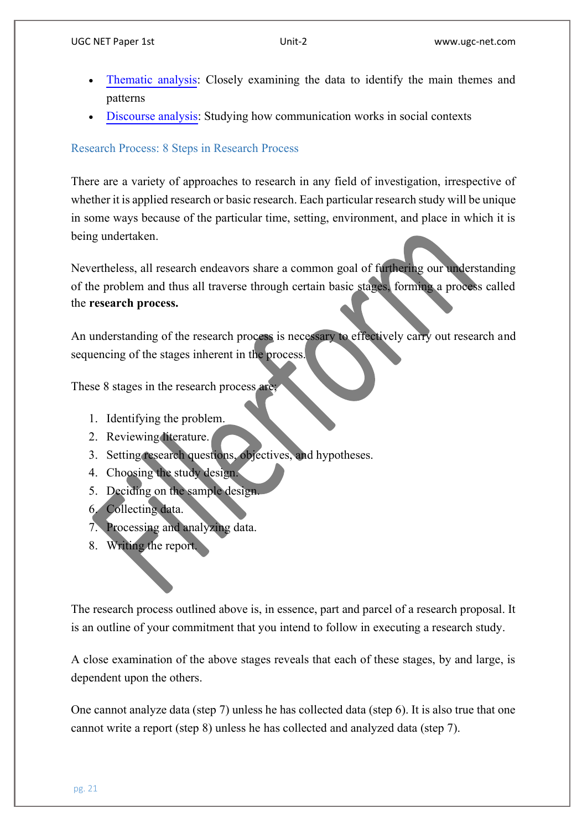- [Thematic analysis:](https://www.scribbr.com/methodology/thematic-analysis/) Closely examining the data to identify the main themes and patterns
- [Discourse analysis:](https://www.scribbr.com/methodology/discourse-analysis/) Studying how communication works in social contexts

# Research Process: 8 Steps in Research Process

There are a variety of approaches to research in any field of investigation, irrespective of whether it is applied research or basic research. Each particular research study will be unique in some ways because of the particular time, setting, environment, and place in which it is being undertaken.

Nevertheless, all research endeavors share a common goal of furthering our understanding of the problem and thus all traverse through certain basic stages, forming a process called the **research process.**

An understanding of the research process is necessary to effectively carry out research and sequencing of the stages inherent in the process.

These 8 stages in the research process are

- 1. Identifying the problem.
- 2. Reviewing literature.
- 3. Setting research questions, objectives, and hypotheses.
- 4. Choosing the study design.
- 5. Deciding on the sample design.
- 6. Collecting data.
- 7. Processing and analyzing data.
- 8. Writing the report.

The research process outlined above is, in essence, part and parcel of a research proposal. It is an outline of your commitment that you intend to follow in executing a research study.

A close examination of the above stages reveals that each of these stages, by and large, is dependent upon the others.

One cannot analyze data (step 7) unless he has collected data (step 6). It is also true that one cannot write a report (step 8) unless he has collected and analyzed data (step 7).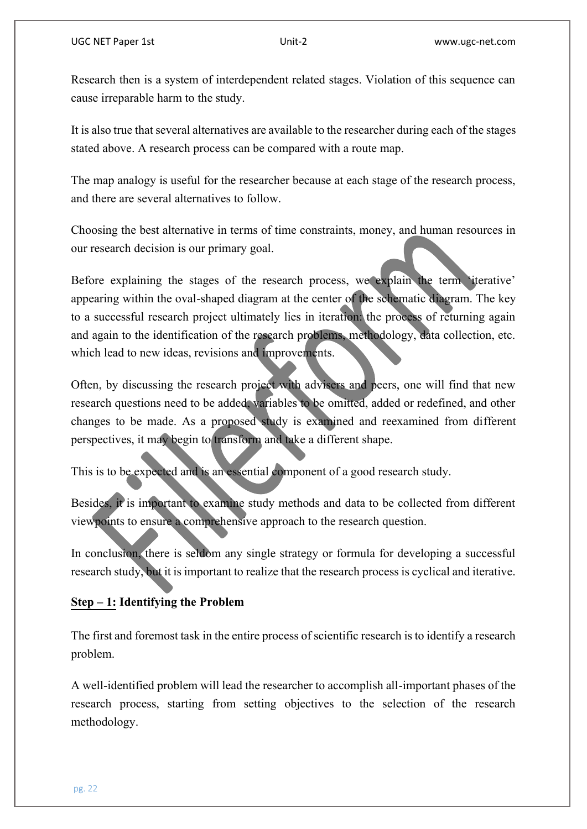Research then is a system of interdependent related stages. Violation of this sequence can cause irreparable harm to the study.

It is also true that several alternatives are available to the researcher during eachof the stages stated above. A research process can be compared with a route map.

The map analogy is useful for the researcher because at each stage of the research process, and there are several alternatives to follow.

Choosing the best alternative in terms of time constraints, money, and human resources in our research decision is our primary goal.

Before explaining the stages of the research process, we explain the term 'iterative' appearing within the oval-shaped diagram at the center of the schematic diagram. The key to a successful research project ultimately lies in iteration: the process of returning again and again to the identification of the research problems, methodology, data collection, etc. which lead to new ideas, revisions and improvements.

Often, by discussing the research project with advisers and peers, one will find that new research questions need to be added, variables to be omitted, added or redefined, and other changes to be made. As a proposed study is examined and reexamined from different perspectives, it may begin to transform and take a different shape.

This is to be expected and is an essential component of a good research study.

Besides, it is important to examine study methods and data to be collected from different viewpoints to ensure a comprehensive approach to the research question.

In conclusion, there is seldom any single strategy or formula for developing a successful research study, but it is important to realize that the research process is cyclical and iterative.

# **Step – 1: Identifying the Problem**

The first and foremost task in the entire process of scientific research is to identify a research problem.

A well-identified problem will lead the researcher to accomplish all-important phases of the research process, starting from setting objectives to the selection of the research methodology.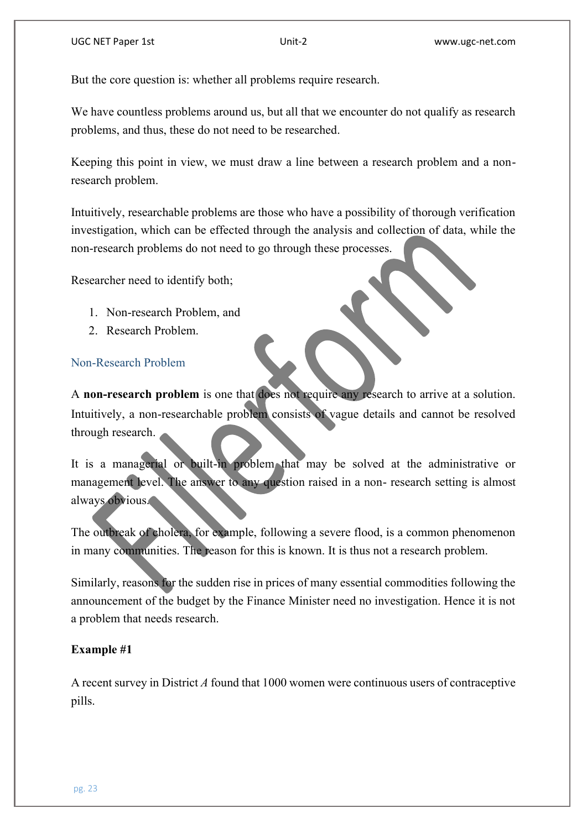But the core question is: whether all problems require research.

We have countless problems around us, but all that we encounter do not qualify as research problems, and thus, these do not need to be researched.

Keeping this point in view, we must draw a line between a research problem and a nonresearch problem.

Intuitively, researchable problems are those who have a possibility of thorough verification investigation, which can be effected through the analysis and collection of data, while the non-research problems do not need to go through these processes.

Researcher need to identify both;

- 1. Non-research Problem, and
- 2. Research Problem.

#### Non-Research Problem

A **non-research problem** is one that does not require any research to arrive at a solution. Intuitively, a non-researchable problem consists of vague details and cannot be resolved through research.

It is a managerial or built-in problem that may be solved at the administrative or management level. The answer to any question raised in a non- research setting is almost always obvious.

The outbreak of cholera, for example, following a severe flood, is a common phenomenon in many communities. The reason for this is known. It is thus not a research problem.

Similarly, reasons for the sudden rise in prices of many essential commodities following the announcement of the budget by the Finance Minister need no investigation. Hence it is not a problem that needs research.

#### **Example #1**

A recent survey in District *A* found that 1000 women were continuous users of contraceptive pills.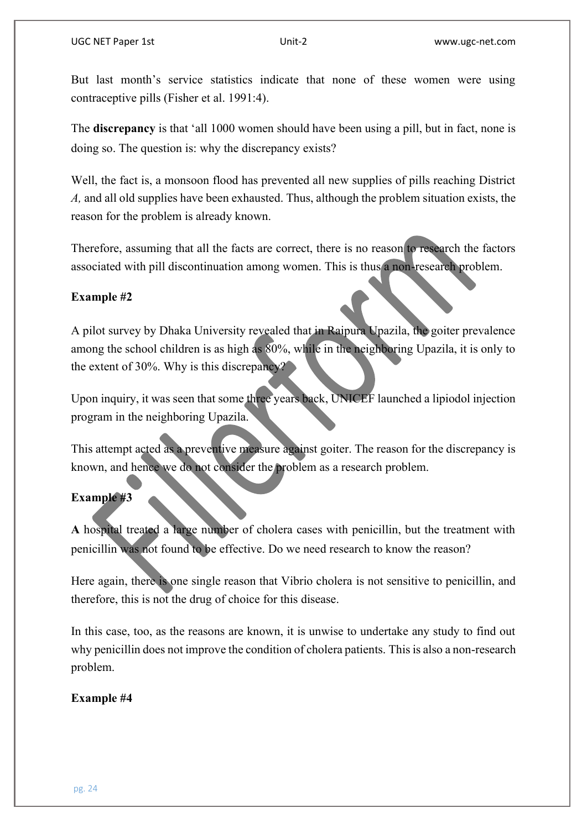But last month's service statistics indicate that none of these women were using contraceptive pills (Fisher et al. 1991:4).

The **discrepancy** is that 'all 1000 women should have been using a pill, but in fact, none is doing so. The question is: why the discrepancy exists?

Well, the fact is, a monsoon flood has prevented all new supplies of pills reaching District *A,* and all old supplies have been exhausted. Thus, although the problem situation exists, the reason for the problem is already known.

Therefore, assuming that all the facts are correct, there is no reason to research the factors associated with pill discontinuation among women. This is thus a non-research problem.

# **Example #2**

A pilot survey by Dhaka University revealed that in Raipura Upazila, the goiter prevalence among the school children is as high as 80%, while in the neighboring Upazila, it is only to the extent of 30%. Why is this discrepancy?

Upon inquiry, it was seen that some three years back, UNICEF launched a lipiodol injection program in the neighboring Upazila.

This attempt acted as a preventive measure against goiter. The reason for the discrepancy is known, and hence we do not consider the problem as a research problem.

# **Example #3**

**A** hospital treated a large number of cholera cases with penicillin, but the treatment with penicillin was not found to be effective. Do we need research to know the reason?

Here again, there is one single reason that Vibrio cholera is not sensitive to penicillin, and therefore, this is not the drug of choice for this disease.

In this case, too, as the reasons are known, it is unwise to undertake any study to find out why penicillin does not improve the condition of cholera patients. This is also a non-research problem.

# **Example #4**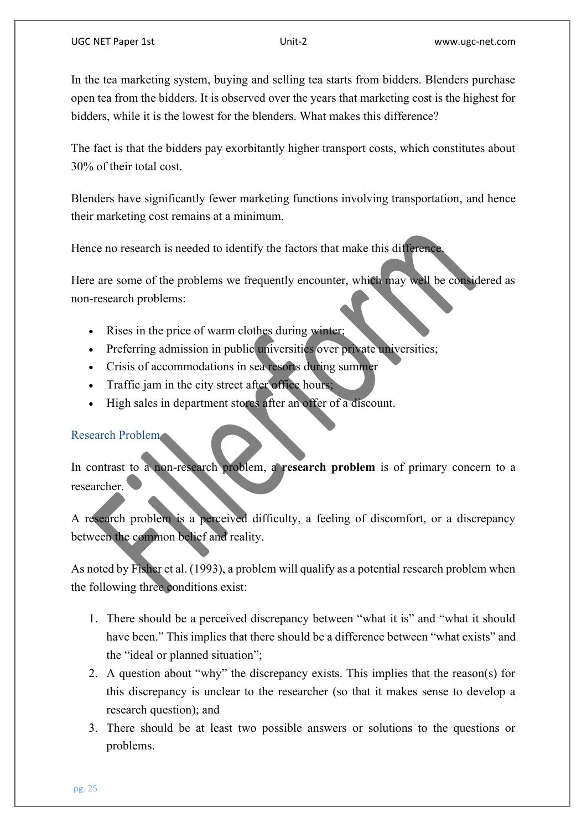In the tea marketing system, buying and selling tea starts from bidders. Blenders purchase open tea from the bidders. It is observed over the years that marketing cost is the highest for bidders, while it is the lowest for the blenders. What makes this difference?

The fact is that the bidders pay exorbitantly higher transport costs, which constitutes about 30% of their total cost.

Blenders have significantly fewer marketing functions involving transportation, and hence their marketing cost remains at a minimum.

Hence no research is needed to identify the factors that make this difference.

Here are some of the problems we frequently encounter, which may well be considered as non-research problems:

- Rises in the price of warm clothes during winter;
- Preferring admission in public universities over private universities;
- Crisis of accommodations in sea resorts during summer
- Traffic jam in the city street after office hours;
- High sales in department stores after an offer of a discount.

# Research Problem

In contrast to a non-research problem, a **research problem** is of primary concern to a researcher.

A research problem is a perceived difficulty, a feeling of discomfort, or a discrepancy between the common belief and reality.

As noted by Fisher et al. (1993), a problem will qualify as a potential research problem when the following three conditions exist:

- 1. There should be a perceived discrepancy between "what it is" and "what it should have been." This implies that there should be a difference between "what exists" and the "ideal or planned situation";
- 2. A question about "why" the discrepancy exists. This implies that the reason(s) for this discrepancy is unclear to the researcher (so that it makes sense to develop a research question); and
- 3. There should be at least two possible answers or solutions to the questions or problems.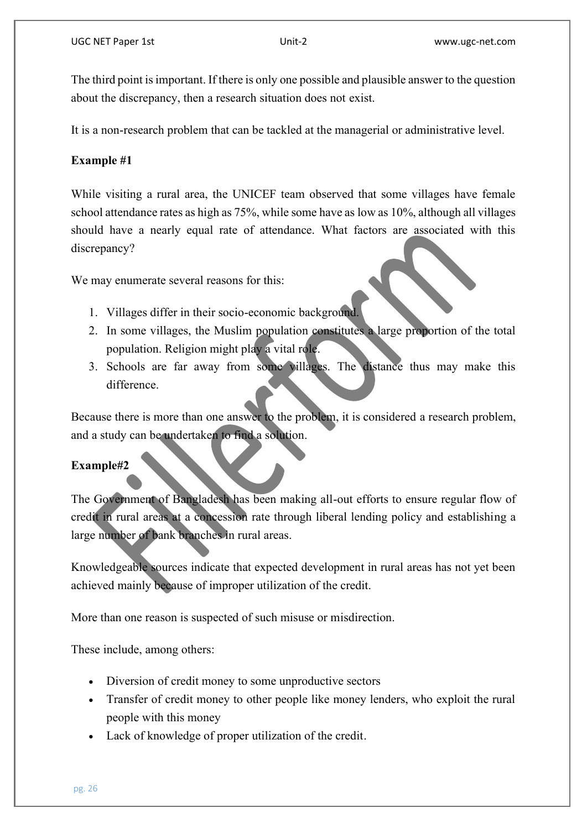The third point is important. If there is only one possible and plausible answer to the question about the discrepancy, then a research situation does not exist.

It is a non-research problem that can be tackled at the managerial or administrative level.

# **Example #1**

While visiting a rural area, the UNICEF team observed that some villages have female school attendance rates as high as 75%, while some have as low as 10%, although all villages should have a nearly equal rate of attendance. What factors are associated with this discrepancy?

We may enumerate several reasons for this:

- 1. Villages differ in their socio-economic background.
- 2. In some villages, the Muslim population constitutes a large proportion of the total population. Religion might play a vital role.
- 3. Schools are far away from some villages. The distance thus may make this difference.

Because there is more than one answer to the problem, it is considered a research problem, and a study can be undertaken to find a solution.

## **Example#2**

The Government of Bangladesh has been making all-out efforts to ensure regular flow of credit in rural areas at a concession rate through liberal lending policy and establishing a large number of bank branches in rural areas.

Knowledgeable sources indicate that expected development in rural areas has not yet been achieved mainly because of improper utilization of the credit.

More than one reason is suspected of such misuse or misdirection.

These include, among others:

- Diversion of credit money to some unproductive sectors
- Transfer of credit money to other people like money lenders, who exploit the rural people with this money
- Lack of knowledge of proper utilization of the credit.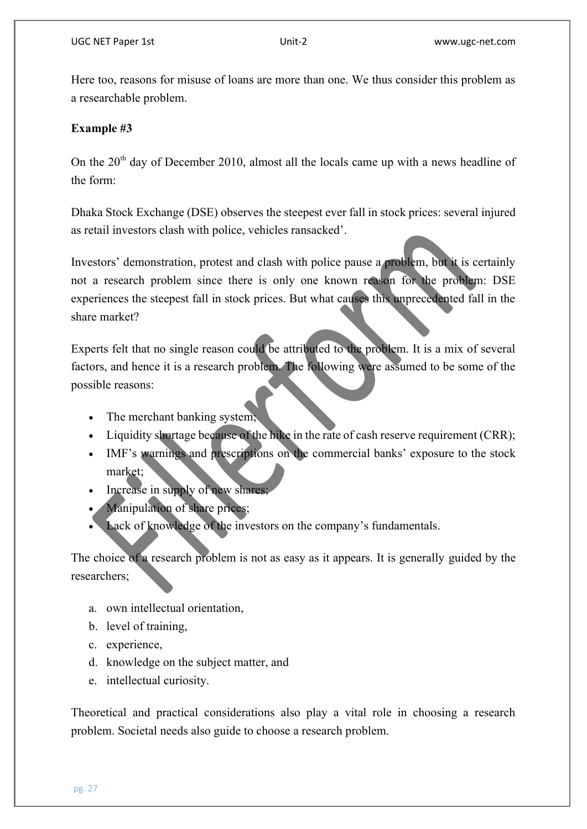Here too, reasons for misuse of loans are more than one. We thus consider this problem as a researchable problem.

# **Example #3**

On the  $20<sup>th</sup>$  day of December 2010, almost all the locals came up with a news headline of the form:

Dhaka Stock Exchange (DSE) observes the steepest ever fall in stock prices: several injured as retail investors clash with police, vehicles ransacked'.

Investors' demonstration, protest and clash with police pause a problem, but it is certainly not a research problem since there is only one known reason for the problem: DSE experiences the steepest fall in stock prices. But what causes this unprecedented fall in the share market?

Experts felt that no single reason could be attributed to the problem. It is a mix of several factors, and hence it is a research problem. The following were assumed to be some of the possible reasons:

- The merchant banking system;
- Liquidity shortage because of the hike in the rate of cash reserve requirement (CRR);
- IMF's warnings and prescriptions on the commercial banks' exposure to the stock market;
- Increase in supply of new shares;
- Manipulation of share prices;
- Lack of knowledge of the investors on the company's fundamentals.

The choice of a research problem is not as easy as it appears. It is generally guided by the researchers;

- a. own intellectual orientation,
- b. level of training,
- c. experience,
- d. knowledge on the subject matter, and
- e. intellectual curiosity.

Theoretical and practical considerations also play a vital role in choosing a research problem. Societal needs also guide to choose a research problem.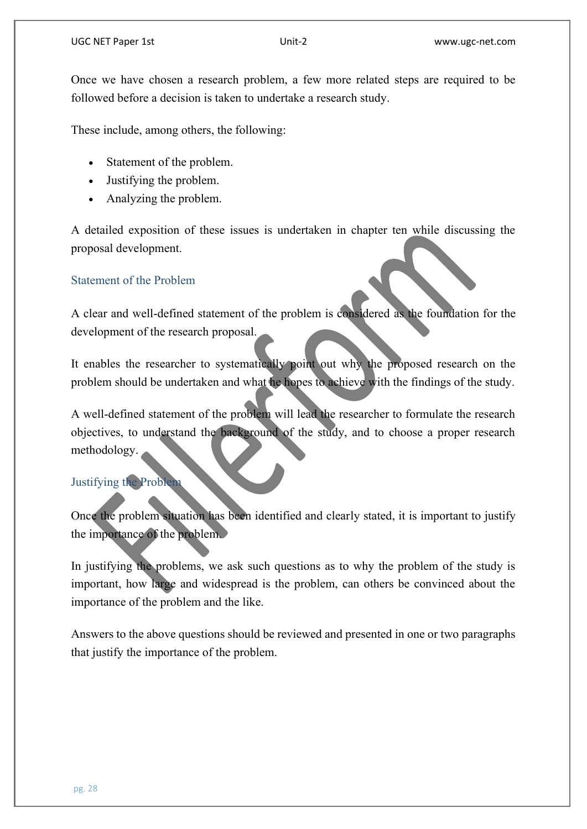Once we have chosen a research problem, a few more related steps are required to be followed before a decision is taken to undertake a research study.

These include, among others, the following:

- Statement of the problem.
- Justifying the problem.
- Analyzing the problem.

A detailed exposition of these issues is undertaken in chapter ten while discussing the proposal development.

# Statement of the Problem

A clear and well-defined statement of the problem is considered as the foundation for the development of the research proposal.

It enables the researcher to systematically point out why the proposed research on the problem should be undertaken and what he hopes to achieve with the findings of the study.

A well-defined statement of the problem will lead the researcher to formulate the research objectives, to understand the background of the study, and to choose a proper research methodology.

# Justifying the Problem

Once the problem situation has been identified and clearly stated, it is important to justify the importance of the problem.

In justifying the problems, we ask such questions as to why the problem of the study is important, how large and widespread is the problem, can others be convinced about the importance of the problem and the like.

Answers to the above questions should be reviewed and presented in one or two paragraphs that justify the importance of the problem.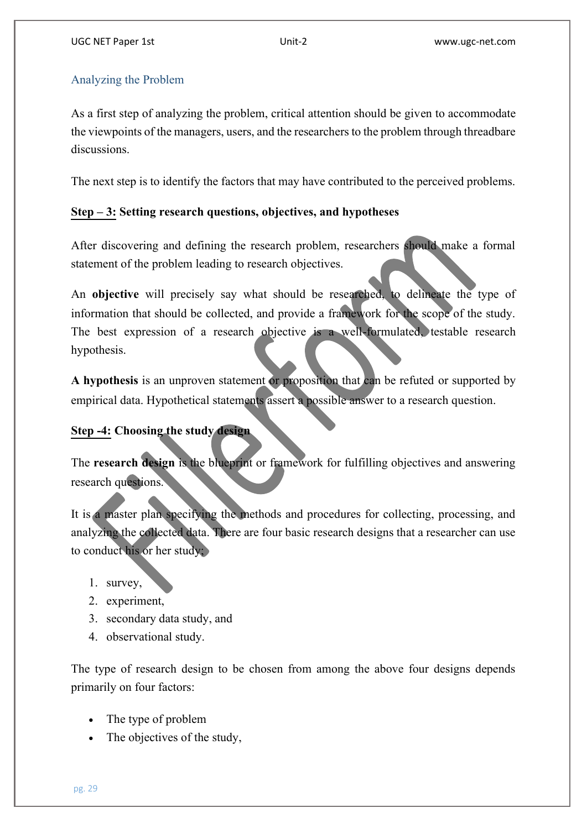# Analyzing the Problem

As a first step of analyzing the problem, critical attention should be given to accommodate the viewpoints of the managers, users, and the researchers to the problem through threadbare discussions.

The next step is to identify the factors that may have contributed to the perceived problems.

# **Step – 3: Setting research questions, objectives, and hypotheses**

After discovering and defining the research problem, researchers should make a formal statement of the problem leading to research objectives.

An **objective** will precisely say what should be researched, to delineate the type of information that should be collected, and provide a framework for the scope of the study. The best expression of a research objective is a well-formulated, testable research hypothesis.

**A hypothesis** is an unproven statement or proposition that can be refuted or supported by empirical data. Hypothetical statements assert a possible answer to a research question.

# **Step -4: Choosing the study design**

The **research design** is the blueprint or framework for fulfilling objectives and answering research questions.

It is a master plan specifying the methods and procedures for collecting, processing, and analyzing the collected data. There are four basic research designs that a researcher can use to conduct his or her study;

- 1. survey,
- 2. experiment,
- 3. secondary data study, and
- 4. observational study.

The type of research design to be chosen from among the above four designs depends primarily on four factors:

- The type of problem
- The objectives of the study,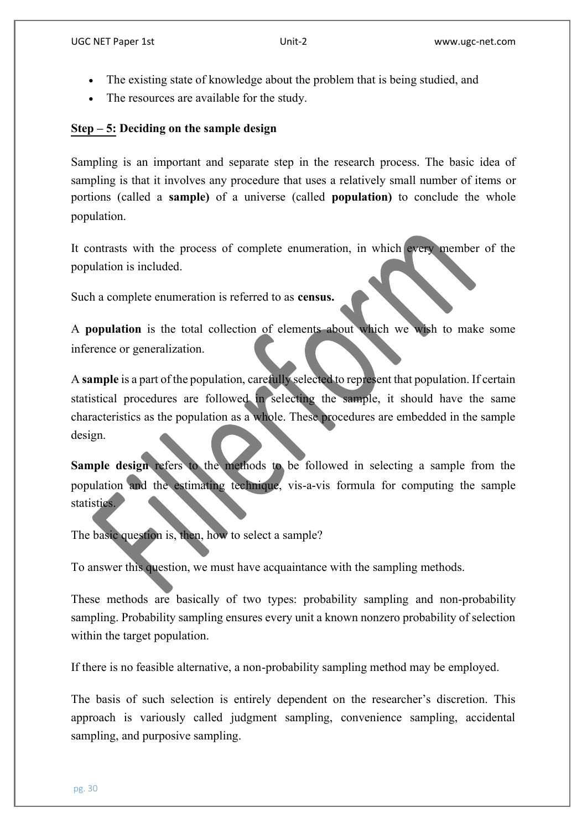- The existing state of knowledge about the problem that is being studied, and
- The resources are available for the study.

# **Step – 5: Deciding on the sample design**

Sampling is an important and separate step in the research process. The basic idea of sampling is that it involves any procedure that uses a relatively small number of items or portions (called a **sample)** of a universe (called **population)** to conclude the whole population.

It contrasts with the process of complete enumeration, in which every member of the population is included.

Such a complete enumeration is referred to as **census.**

A **population** is the total collection of elements about which we wish to make some inference or generalization.

A **sample** is a part of the population, carefully selected to represent that population. If certain statistical procedures are followed in selecting the sample, it should have the same characteristics as the population as a whole. These procedures are embedded in the sample design.

**Sample design refers to the methods to be followed in selecting a sample from the** population and the estimating technique, vis-a-vis formula for computing the sample statistics.

The basic question is, then, how to select a sample?

To answer this question, we must have acquaintance with the sampling methods.

These methods are basically of two types: probability sampling and non-probability sampling. Probability sampling ensures every unit a known nonzero probability of selection within the target population.

If there is no feasible alternative, a non-probability sampling method may be employed.

The basis of such selection is entirely dependent on the researcher's discretion. This approach is variously called judgment sampling, convenience sampling, accidental sampling, and purposive sampling.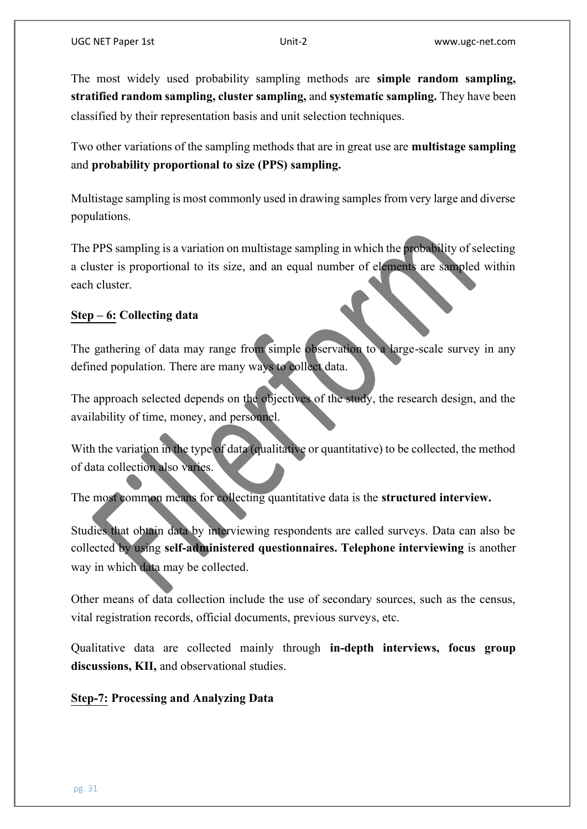The most widely used probability sampling methods are **simple random sampling, stratified random sampling, cluster sampling,** and **systematic sampling.** They have been classified by their representation basis and unit selection techniques.

Two other variations of the sampling methods that are in great use are **multistage sampling**  and **probability proportional to size (PPS) sampling.**

Multistage sampling is most commonly used in drawing samples from very large and diverse populations.

The PPS sampling is a variation on multistage sampling in which the probability of selecting a cluster is proportional to its size, and an equal number of elements are sampled within each cluster.

# **Step – 6: Collecting data**

The gathering of data may range from simple observation to a large-scale survey in any defined population. There are many ways to collect data.

The approach selected depends on the objectives of the study, the research design, and the availability of time, money, and personnel.

With the variation in the type of data (qualitative or quantitative) to be collected, the method of data collection also varies.

The most common means for collecting quantitative data is the **structured interview.**

Studies that obtain data by interviewing respondents are called surveys. Data can also be collected by using **self-administered questionnaires. Telephone interviewing** is another way in which data may be collected.

Other means of data collection include the use of secondary sources, such as the census, vital registration records, official documents, previous surveys, etc.

Qualitative data are collected mainly through **in-depth interviews, focus group discussions, KII,** and observational studies.

**Step-7: Processing and Analyzing Data**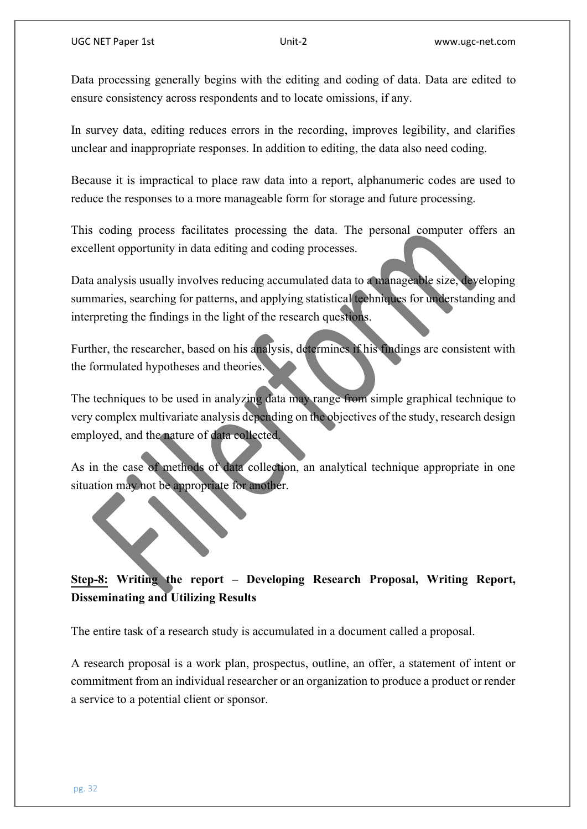Data processing generally begins with the editing and coding of data. Data are edited to ensure consistency across respondents and to locate omissions, if any.

In survey data, editing reduces errors in the recording, improves legibility, and clarifies unclear and inappropriate responses. In addition to editing, the data also need coding.

Because it is impractical to place raw data into a report, alphanumeric codes are used to reduce the responses to a more manageable form for storage and future processing.

This coding process facilitates processing the data. The personal computer offers an excellent opportunity in data editing and coding processes.

Data analysis usually involves reducing accumulated data to a manageable size, developing summaries, searching for patterns, and applying statistical techniques for understanding and interpreting the findings in the light of the research questions.

Further, the researcher, based on his analysis, determines if his findings are consistent with the formulated hypotheses and theories.

The techniques to be used in analyzing data may range from simple graphical technique to very complex multivariate analysis depending on the objectives of the study, research design employed, and the nature of data collected.

As in the case of methods of data collection, an analytical technique appropriate in one situation may not be appropriate for another.

# **Step-8: Writing the report – Developing Research Proposal, Writing Report, Disseminating and Utilizing Results**

The entire task of a research study is accumulated in a document called a proposal.

A research proposal is a work plan, prospectus, outline, an offer, a statement of intent or commitment from an individual researcher or an organization to produce a product or render a service to a potential client or sponsor.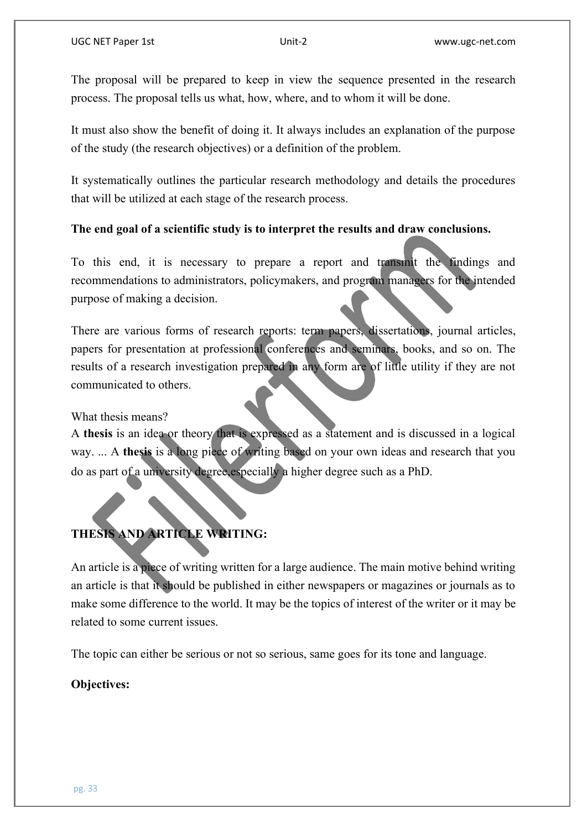The proposal will be prepared to keep in view the sequence presented in the research process. The proposal tells us what, how, where, and to whom it will be done.

It must also show the benefit of doing it. It always includes an explanation of the purpose of the study (the research objectives) or a definition of the problem.

It systematically outlines the particular research methodology and details the procedures that will be utilized at each stage of the research process.

# **The end goal of a scientific study is to interpret the results and draw conclusions.**

To this end, it is necessary to prepare a report and transmit the findings and recommendations to administrators, policymakers, and program managers for the intended purpose of making a decision.

There are various forms of research reports: term papers, dissertations, journal articles, papers for presentation at professional conferences and seminars, books, and so on. The results of a research investigation prepared in any form are of little utility if they are not communicated to others.

What thesis means?

A **thesis** is an idea or theory that is expressed as a statement and is discussed in a logical way. ... A **thesis** is a long piece of writing based on your own ideas and research that you do as part of a university degree,especially a higher degree such as a PhD.

# **THESIS AND ARTICLE WRITING:**

An article is a piece of writing written for a large audience. The main motive behind writing an article is that it should be published in either newspapers or magazines or journals as to make some difference to the world. It may be the topics of interest of the writer or it may be related to some current issues.

The topic can either be serious or not so serious, same goes for its tone and language.

## **Objectives:**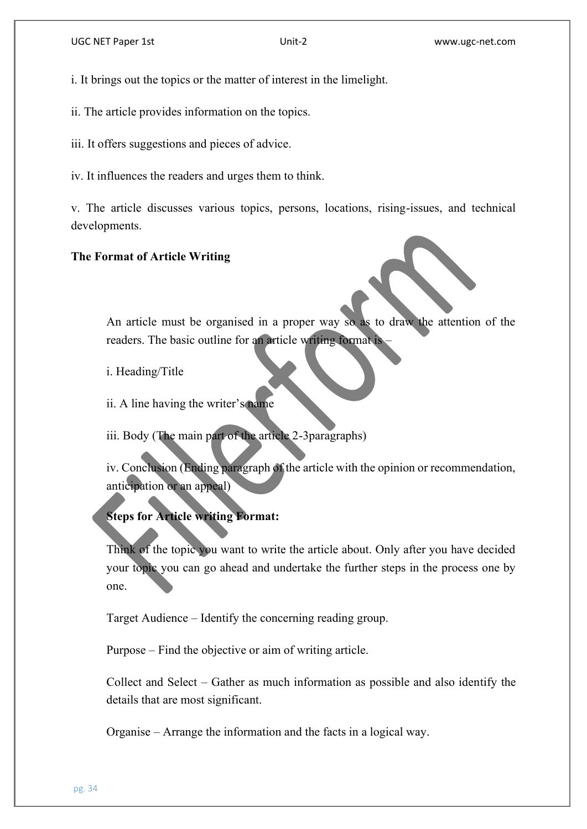i. It brings out the topics or the matter of interest in the limelight.

ii. The article provides information on the topics.

iii. It offers suggestions and pieces of advice.

iv. It influences the readers and urges them to think.

v. The article discusses various topics, persons, locations, rising-issues, and technical developments.

#### **The Format of Article Writing**

An article must be organised in a proper way so as to draw the attention of the readers. The basic outline for an article writing format is –

i. Heading/Title

ii. A line having the writer's name

iii. Body (The main part of the article 2-3paragraphs)

iv. Conclusion (Ending paragraph of the article with the opinion or recommendation, anticipation or an appeal)

# **Steps for Article writing Format:**

Think of the topic you want to write the article about. Only after you have decided your topic you can go ahead and undertake the further steps in the process one by one.

Target Audience – Identify the concerning reading group.

Purpose – Find the objective or aim of writing article.

Collect and Select – Gather as much information as possible and also identify the details that are most significant.

Organise – Arrange the information and the facts in a logical way.